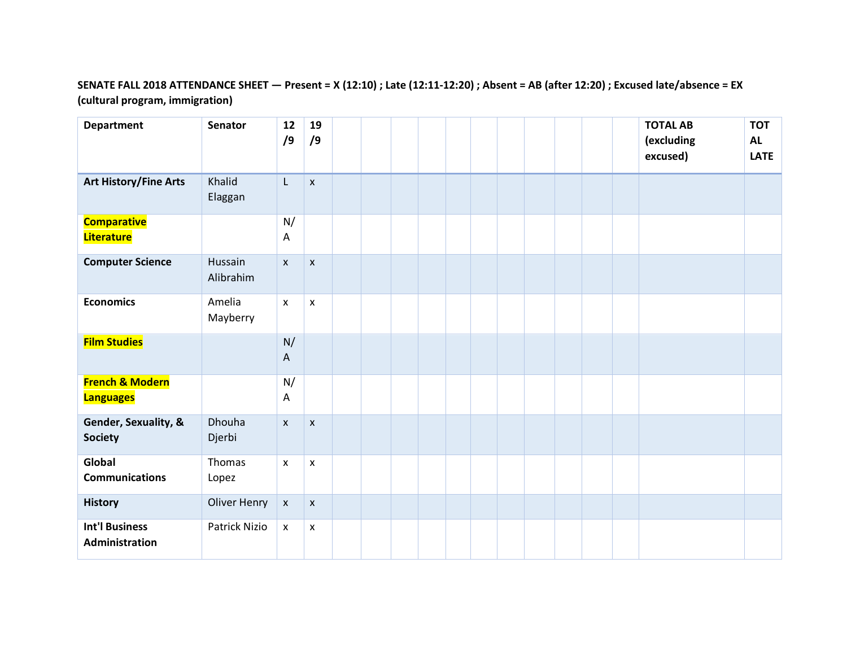## **SENATE FALL 2018 ATTENDANCE SHEET — Present = X (12:10) ; Late (12:11-12:20) ; Absent = AB (after 12:20) ; Excused late/absence = EX (cultural program, immigration)**

| <b>Department</b>                              | <b>Senator</b>       | 12<br>/9                        | 19<br>/9           |  |  |  |  |  | <b>TOTAL AB</b><br>(excluding<br>excused) | <b>TOT</b><br><b>AL</b><br><b>LATE</b> |
|------------------------------------------------|----------------------|---------------------------------|--------------------|--|--|--|--|--|-------------------------------------------|----------------------------------------|
| <b>Art History/Fine Arts</b>                   | Khalid<br>Elaggan    | L                               | $\pmb{\mathsf{X}}$ |  |  |  |  |  |                                           |                                        |
| <b>Comparative</b><br><b>Literature</b>        |                      | N/<br>A                         |                    |  |  |  |  |  |                                           |                                        |
| <b>Computer Science</b>                        | Hussain<br>Alibrahim | $\pmb{\chi}$                    | $\pmb{\mathsf{X}}$ |  |  |  |  |  |                                           |                                        |
| <b>Economics</b>                               | Amelia<br>Mayberry   | $\pmb{\mathsf{X}}$              | X                  |  |  |  |  |  |                                           |                                        |
| <b>Film Studies</b>                            |                      | N/<br>$\boldsymbol{\mathsf{A}}$ |                    |  |  |  |  |  |                                           |                                        |
| <b>French &amp; Modern</b><br><b>Languages</b> |                      | N/<br>A                         |                    |  |  |  |  |  |                                           |                                        |
| Gender, Sexuality, &<br><b>Society</b>         | Dhouha<br>Djerbi     | $\mathsf{x}$                    | $\pmb{\mathsf{x}}$ |  |  |  |  |  |                                           |                                        |
| Global<br><b>Communications</b>                | Thomas<br>Lopez      | $\pmb{\mathsf{X}}$              | X                  |  |  |  |  |  |                                           |                                        |
| <b>History</b>                                 | Oliver Henry         | $\pmb{\mathsf{X}}$              | $\pmb{\mathsf{X}}$ |  |  |  |  |  |                                           |                                        |
| <b>Int'l Business</b><br>Administration        | Patrick Nizio        | $\pmb{\mathsf{X}}$              | $\pmb{\mathsf{x}}$ |  |  |  |  |  |                                           |                                        |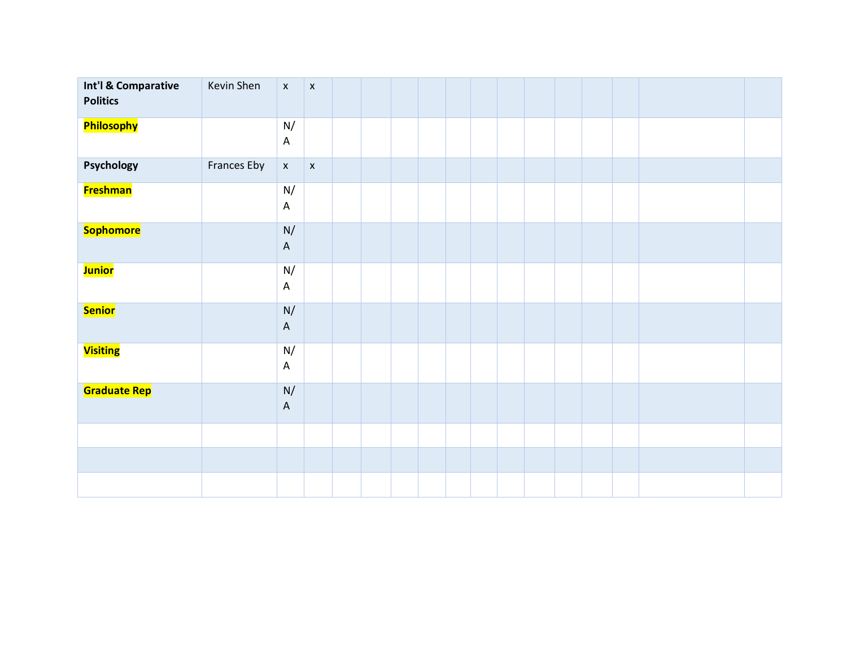| Int'l & Comparative<br><b>Politics</b> | Kevin Shen  | $\mathsf X$                               | $\pmb{\mathsf{x}}$ |  |  |  |  |  |  |  |
|----------------------------------------|-------------|-------------------------------------------|--------------------|--|--|--|--|--|--|--|
| <b>Philosophy</b>                      |             | $\mathsf{N}/% \mathsf{N}$<br>$\mathsf A$  |                    |  |  |  |  |  |  |  |
| Psychology                             | Frances Eby | $\mathsf{X}$                              | $\pmb{\mathsf{x}}$ |  |  |  |  |  |  |  |
| <b>Freshman</b>                        |             | N/<br>$\mathsf A$                         |                    |  |  |  |  |  |  |  |
| <b>Sophomore</b>                       |             | $\mathsf{N}/% \mathsf{N}$<br>$\mathsf A$  |                    |  |  |  |  |  |  |  |
| <b>Junior</b>                          |             | $\mathsf{N}/% \mathsf{N}$<br>$\mathsf{A}$ |                    |  |  |  |  |  |  |  |
| <b>Senior</b>                          |             | N/<br>$\mathsf A$                         |                    |  |  |  |  |  |  |  |
| <b>Visiting</b>                        |             | $\mathsf{N}/% \mathsf{N}$<br>$\mathsf A$  |                    |  |  |  |  |  |  |  |
| <b>Graduate Rep</b>                    |             | $\mathsf{N}/% \mathsf{N}$<br>$\mathsf A$  |                    |  |  |  |  |  |  |  |
|                                        |             |                                           |                    |  |  |  |  |  |  |  |
|                                        |             |                                           |                    |  |  |  |  |  |  |  |
|                                        |             |                                           |                    |  |  |  |  |  |  |  |